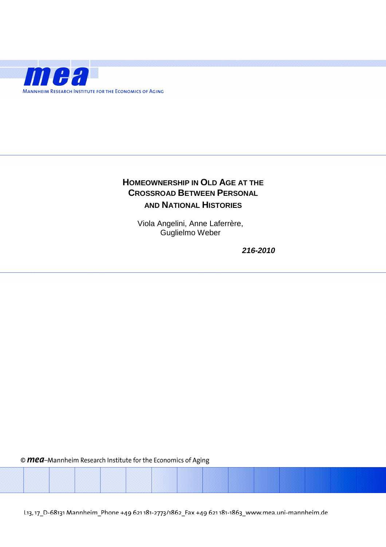

# **HOMEOWNERSHIP IN OLD AGE AT THE CROSSROAD BETWEEN PERSONAL AND NATIONAL HISTORIES**

Viola Angelini, Anne Laferrère, Guglielmo Weber

**216-2010** 

© Med-Mannheim Research Institute for the Economics of Aging

L13, 17\_D-68131 Mannheim\_Phone +49 621 181-2773/1862\_Fax +49 621 181-1863\_www.mea.uni-mannheim.de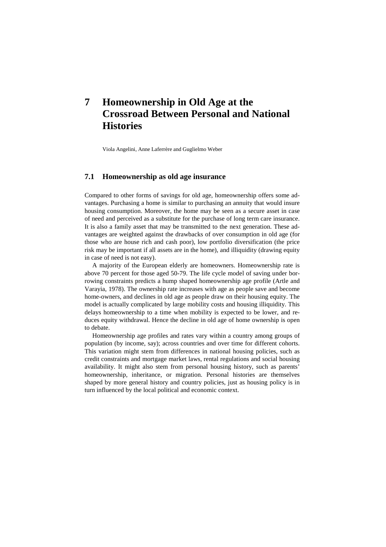# **7 Homeownership in Old Age at the Crossroad Between Personal and National Histories**

Viola Angelini, Anne Laferrère and Guglielmo Weber

## **7.1 Homeownership as old age insurance**

Compared to other forms of savings for old age, homeownership offers some advantages. Purchasing a home is similar to purchasing an annuity that would insure housing consumption. Moreover, the home may be seen as a secure asset in case of need and perceived as a substitute for the purchase of long term care insurance. It is also a family asset that may be transmitted to the next generation. These advantages are weighted against the drawbacks of over consumption in old age (for those who are house rich and cash poor), low portfolio diversification (the price risk may be important if all assets are in the home), and illiquidity (drawing equity in case of need is not easy).

A majority of the European elderly are homeowners. Homeownership rate is above 70 percent for those aged 50-79. The life cycle model of saving under borrowing constraints predicts a hump shaped homeownership age profile (Artle and Varayia, 1978). The ownership rate increases with age as people save and become home-owners, and declines in old age as people draw on their housing equity. The model is actually complicated by large mobility costs and housing illiquidity. This delays homeownership to a time when mobility is expected to be lower, and reduces equity withdrawal. Hence the decline in old age of home ownership is open to debate.

Homeownership age profiles and rates vary within a country among groups of population (by income, say); across countries and over time for different cohorts. This variation might stem from differences in national housing policies, such as credit constraints and mortgage market laws, rental regulations and social housing availability. It might also stem from personal housing history, such as parents' homeownership, inheritance, or migration. Personal histories are themselves shaped by more general history and country policies, just as housing policy is in turn influenced by the local political and economic context.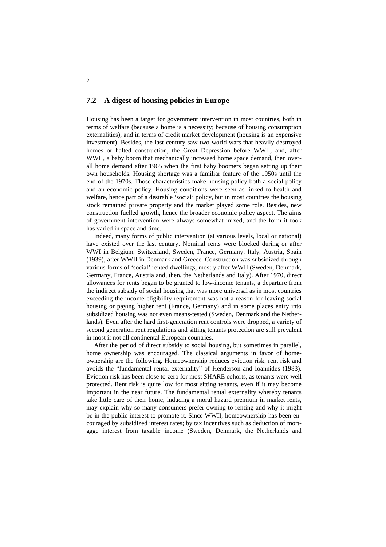## **7.2 A digest of housing policies in Europe**

Housing has been a target for government intervention in most countries, both in terms of welfare (because a home is a necessity; because of housing consumption externalities), and in terms of credit market development (housing is an expensive investment). Besides, the last century saw two world wars that heavily destroyed homes or halted construction, the Great Depression before WWII, and, after WWII, a baby boom that mechanically increased home space demand, then overall home demand after 1965 when the first baby boomers began setting up their own households. Housing shortage was a familiar feature of the 1950s until the end of the 1970s. Those characteristics make housing policy both a social policy and an economic policy. Housing conditions were seen as linked to health and welfare, hence part of a desirable 'social' policy, but in most countries the housing stock remained private property and the market played some role. Besides, new construction fuelled growth, hence the broader economic policy aspect. The aims of government intervention were always somewhat mixed, and the form it took has varied in space and time.

Indeed, many forms of public intervention (at various levels, local or national) have existed over the last century. Nominal rents were blocked during or after WWI in Belgium, Switzerland, Sweden, France, Germany, Italy, Austria, Spain (1939), after WWII in Denmark and Greece. Construction was subsidized through various forms of 'social' rented dwellings, mostly after WWII (Sweden, Denmark, Germany, France, Austria and, then, the Netherlands and Italy). After 1970, direct allowances for rents began to be granted to low-income tenants, a departure from the indirect subsidy of social housing that was more universal as in most countries exceeding the income eligibility requirement was not a reason for leaving social housing or paying higher rent (France, Germany) and in some places entry into subsidized housing was not even means-tested (Sweden, Denmark and the Netherlands). Even after the hard first-generation rent controls were dropped, a variety of second generation rent regulations and sitting tenants protection are still prevalent in most if not all continental European countries.

After the period of direct subsidy to social housing, but sometimes in parallel, home ownership was encouraged. The classical arguments in favor of homeownership are the following. Homeownership reduces eviction risk, rent risk and avoids the "fundamental rental externality" of Henderson and Ioannides (1983). Eviction risk has been close to zero for most SHARE cohorts, as tenants were well protected. Rent risk is quite low for most sitting tenants, even if it may become important in the near future. The fundamental rental externality whereby tenants take little care of their home, inducing a moral hazard premium in market rents, may explain why so many consumers prefer owning to renting and why it might be in the public interest to promote it. Since WWII, homeownership has been encouraged by subsidized interest rates; by tax incentives such as deduction of mortgage interest from taxable income (Sweden, Denmark, the Netherlands and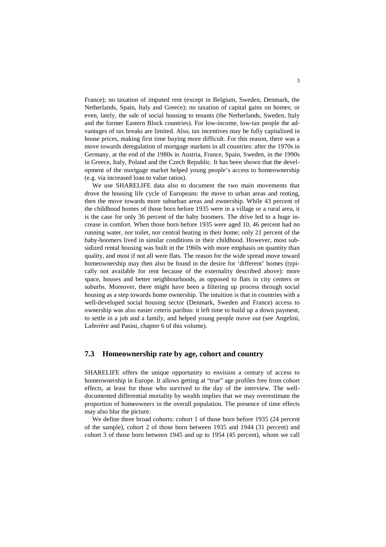France); no taxation of imputed rent (except in Belgium, Sweden, Denmark, the Netherlands, Spain, Italy and Greece); no taxation of capital gains on homes; or even, lately, the sale of social housing to tenants (the Netherlands, Sweden, Italy and the former Eastern Block countries). For low-income, low-tax people the advantages of tax breaks are limited. Also, tax incentives may be fully capitalized in house prices, making first time buying more difficult. For this reason, there was a move towards deregulation of mortgage markets in all countries: after the 1970s in Germany, at the end of the 1980s in Austria, France, Spain, Sweden, in the 1990s in Greece, Italy, Poland and the Czech Republic. It has been shown that the development of the mortgage market helped young people's access to homeownership (e.g. via increased loan to value ratios).

We use SHARELIFE data also to document the two main movements that drove the housing life cycle of Europeans: the move to urban areas and renting, then the move towards more suburban areas and ownership. While 43 percent of the childhood homes of those born before 1935 were in a village or a rural area, it is the case for only 36 percent of the baby boomers. The drive led to a huge increase in comfort. When those born before 1935 were aged 10, 46 percent had no running water, nor toilet, nor central heating in their home; only 21 percent of the baby-boomers lived in similar conditions in their childhood. However, most subsidized rental housing was built in the 1960s with more emphasis on quantity than quality, and most if not all were flats. The reason for the wide spread move toward homeownership may then also be found in the desire for 'different' homes (typically not available for rent because of the externality described above): more space, houses and better neighbourhoods, as opposed to flats in city centers or suburbs. Moreover, there might have been a filtering up process through social housing as a step towards home ownership. The intuition is that in countries with a well-developed social housing sector (Denmark, Sweden and France) access to ownership was also easier ceteris paribus: it left time to build up a down payment, to settle in a job and a family, and helped young people move out (see Angelini, Laferrère and Pasini, chapter 6 of this volume).

# **7.3 Homeownership rate by age, cohort and country**

SHARELIFE offers the unique opportunity to envision a century of access to homeownership in Europe. It allows getting at "true" age profiles free from cohort effects, at least for those who survived to the day of the interview. The welldocumented differential mortality by wealth implies that we may overestimate the proportion of homeowners in the overall population. The presence of time effects may also blur the picture.

We define three broad cohorts: cohort 1 of those born before 1935 (24 percent of the sample), cohort 2 of those born between 1935 and 1944 (31 percent) and cohort 3 of those born between 1945 and up to 1954 (45 percent), whom we call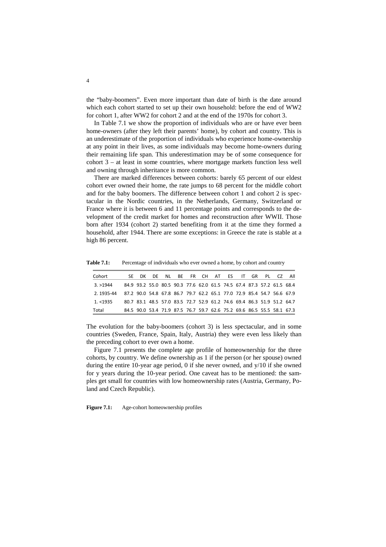the "baby-boomers". Even more important than date of birth is the date around which each cohort started to set up their own household: before the end of WW2 for cohort 1, after WW2 for cohort 2 and at the end of the 1970s for cohort 3.

In Table 7.1 we show the proportion of individuals who are or have ever been home-owners (after they left their parents' home), by cohort and country. This is an underestimate of the proportion of individuals who experience home-ownership at any point in their lives, as some individuals may become home-owners during their remaining life span. This underestimation may be of some consequence for cohort 3 – at least in some countries, where mortgage markets function less well and owning through inheritance is more common.

There are marked differences between cohorts: barely 65 percent of our eldest cohort ever owned their home, the rate jumps to 68 percent for the middle cohort and for the baby boomers. The difference between cohort 1 and cohort 2 is spectacular in the Nordic countries, in the Netherlands, Germany, Switzerland or France where it is between 6 and 11 percentage points and corresponds to the development of the credit market for homes and reconstruction after WWII. Those born after 1934 (cohort 2) started benefiting from it at the time they formed a household, after 1944. There are some exceptions: in Greece the rate is stable at a high 86 percent.

**Table 7.1:** Percentage of individuals who ever owned a home, by cohort and country

| Cohort                                                                          |  |  |  |  | SE DK DE NL BE FR CH AT ES IT GR PL CZ All                            |  |  |  |
|---------------------------------------------------------------------------------|--|--|--|--|-----------------------------------------------------------------------|--|--|--|
| 3. > 1944                                                                       |  |  |  |  | 84.9 93.2 55.0 80.5 90.3 77.6 62.0 61.5 74.5 67.4 87.3 57.2 61.5 68.4 |  |  |  |
| 2.1935-44 87.2 90.0 54.8 67.8 86.7 79.7 62.2 65.1 77.0 72.9 85.4 54.7 56.6 67.9 |  |  |  |  |                                                                       |  |  |  |
| 1. < 1935                                                                       |  |  |  |  | 80.7 83.1 48.5 57.0 83.5 72.7 52.9 61.2 74.6 69.4 86.3 51.9 51.2 64.7 |  |  |  |
| Total                                                                           |  |  |  |  | 84.5 90.0 53.4 71.9 87.5 76.7 59.7 62.6 75.2 69.6 86.5 55.5 58.1 67.3 |  |  |  |

The evolution for the baby-boomers (cohort 3) is less spectacular, and in some countries (Sweden, France, Spain, Italy, Austria) they were even less likely than the preceding cohort to ever own a home.

Figure 7.1 presents the complete age profile of homeownership for the three cohorts, by country. We define ownership as 1 if the person (or her spouse) owned during the entire 10-year age period, 0 if she never owned, and y/10 if she owned for y years during the 10-year period. One caveat has to be mentioned: the samples get small for countries with low homeownership rates (Austria, Germany, Poland and Czech Republic).

**Figure 7.1:** Age-cohort homeownership profiles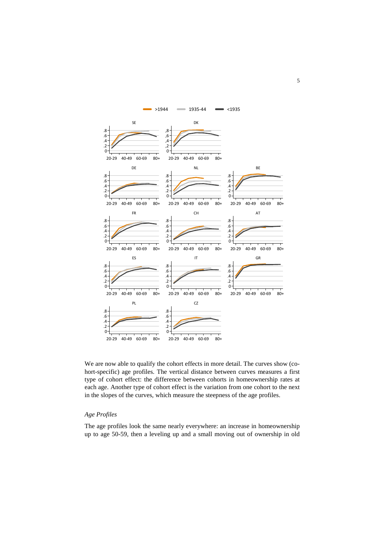

We are now able to qualify the cohort effects in more detail. The curves show (cohort-specific) age profiles. The vertical distance between curves measures a first type of cohort effect: the difference between cohorts in homeownership rates at each age. Another type of cohort effect is the variation from one cohort to the next in the slopes of the curves, which measure the steepness of the age profiles.

## *Age Profiles*

The age profiles look the same nearly everywhere: an increase in homeownership up to age 50-59, then a leveling up and a small moving out of ownership in old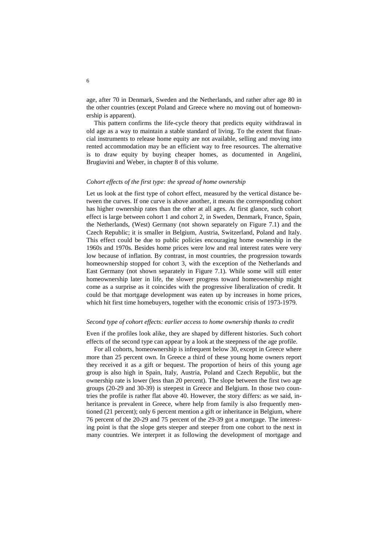age, after 70 in Denmark, Sweden and the Netherlands, and rather after age 80 in the other countries (except Poland and Greece where no moving out of homeownership is apparent).

This pattern confirms the life-cycle theory that predicts equity withdrawal in old age as a way to maintain a stable standard of living. To the extent that financial instruments to release home equity are not available, selling and moving into rented accommodation may be an efficient way to free resources. The alternative is to draw equity by buying cheaper homes, as documented in Angelini, Brugiavini and Weber, in chapter 8 of this volume.

#### *Cohort effects of the first type: the spread of home ownership*

Let us look at the first type of cohort effect, measured by the vertical distance between the curves. If one curve is above another, it means the corresponding cohort has higher ownership rates than the other at all ages. At first glance, such cohort effect is large between cohort 1 and cohort 2, in Sweden, Denmark, France, Spain, the Netherlands, (West) Germany (not shown separately on Figure 7.1) and the Czech Republic; it is smaller in Belgium, Austria, Switzerland, Poland and Italy. This effect could be due to public policies encouraging home ownership in the 1960s and 1970s. Besides home prices were low and real interest rates were very low because of inflation. By contrast, in most countries, the progression towards homeownership stopped for cohort 3, with the exception of the Netherlands and East Germany (not shown separately in Figure 7.1). While some will still enter homeownership later in life, the slower progress toward homeownership might come as a surprise as it coincides with the progressive liberalization of credit. It could be that mortgage development was eaten up by increases in home prices, which hit first time homebuyers, together with the economic crisis of 1973-1979.

#### *Second type of cohort effects: earlier access to home ownership thanks to credit*

Even if the profiles look alike, they are shaped by different histories. Such cohort effects of the second type can appear by a look at the steepness of the age profile.

For all cohorts, homeownership is infrequent below 30, except in Greece where more than 25 percent own. In Greece a third of these young home owners report they received it as a gift or bequest. The proportion of heirs of this young age group is also high in Spain, Italy, Austria, Poland and Czech Republic, but the ownership rate is lower (less than 20 percent). The slope between the first two age groups (20-29 and 30-39) is steepest in Greece and Belgium. In those two countries the profile is rather flat above 40. However, the story differs: as we said, inheritance is prevalent in Greece, where help from family is also frequently mentioned (21 percent); only 6 percent mention a gift or inheritance in Belgium, where 76 percent of the 20-29 and 75 percent of the 29-39 got a mortgage. The interesting point is that the slope gets steeper and steeper from one cohort to the next in many countries. We interpret it as following the development of mortgage and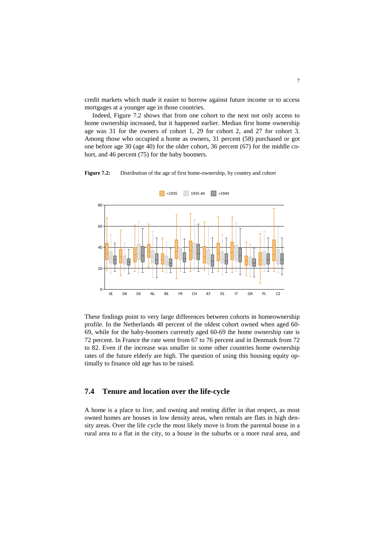credit markets which made it easier to borrow against future income or to access mortgages at a younger age in those countries.

Indeed, Figure 7.2 shows that from one cohort to the next not only access to home ownership increased, but it happened earlier. Median first home ownership age was 31 for the owners of cohort 1, 29 for cohort 2, and 27 for cohort 3. Among those who occupied a home as owners, 31 percent (58) purchased or got one before age 30 (age 40) for the older cohort, 36 percent (67) for the middle cohort, and 46 percent (75) for the baby boomers.

Figure 7.2: Distribution of the age of first home-ownership, by country and cohort



These findings point to very large differences between cohorts in homeownership profile. In the Netherlands 48 percent of the oldest cohort owned when aged 60- 69, while for the baby-boomers currently aged 60-69 the home ownership rate is 72 percent. In France the rate went from 67 to 76 percent and in Denmark from 72 to 82. Even if the increase was smaller in some other countries home ownership rates of the future elderly are high. The question of using this housing equity optimally to finance old age has to be raised.

## **7.4 Tenure and location over the life-cycle**

A home is a place to live, and owning and renting differ in that respect, as most owned homes are houses in low density areas, when rentals are flats in high density areas. Over the life cycle the most likely move is from the parental house in a rural area to a flat in the city, to a house in the suburbs or a more rural area, and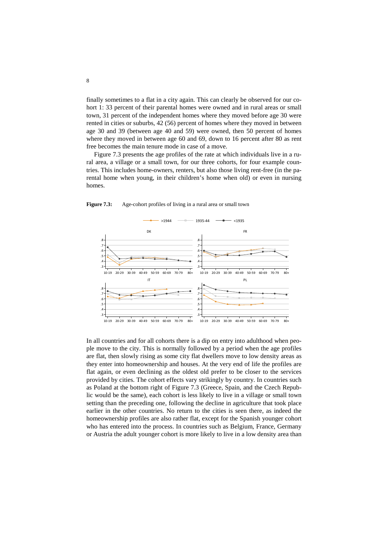finally sometimes to a flat in a city again. This can clearly be observed for our cohort 1: 33 percent of their parental homes were owned and in rural areas or small town, 31 percent of the independent homes where they moved before age 30 were rented in cities or suburbs, 42 (56) percent of homes where they moved in between age 30 and 39 (between age 40 and 59) were owned, then 50 percent of homes where they moved in between age 60 and 69, down to 16 percent after 80 as rent free becomes the main tenure mode in case of a move.

Figure 7.3 presents the age profiles of the rate at which individuals live in a rural area, a village or a small town, for our three cohorts, for four example countries. This includes home-owners, renters, but also those living rent-free (in the parental home when young, in their children's home when old) or even in nursing homes.

**Figure 7.3:** Age-cohort profiles of living in a rural area or small town



In all countries and for all cohorts there is a dip on entry into adulthood when people move to the city. This is normally followed by a period when the age profiles are flat, then slowly rising as some city flat dwellers move to low density areas as they enter into homeownership and houses. At the very end of life the profiles are flat again, or even declining as the oldest old prefer to be closer to the services provided by cities. The cohort effects vary strikingly by country. In countries such as Poland at the bottom right of Figure 7.3 (Greece, Spain, and the Czech Republic would be the same), each cohort is less likely to live in a village or small town setting than the preceding one, following the decline in agriculture that took place earlier in the other countries. No return to the cities is seen there, as indeed the homeownership profiles are also rather flat, except for the Spanish younger cohort who has entered into the process. In countries such as Belgium, France, Germany or Austria the adult younger cohort is more likely to live in a low density area than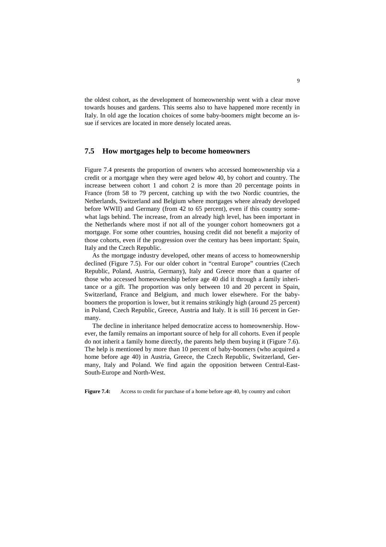the oldest cohort, as the development of homeownership went with a clear move towards houses and gardens. This seems also to have happened more recently in Italy. In old age the location choices of some baby-boomers might become an issue if services are located in more densely located areas.

## **7.5 How mortgages help to become homeowners**

Figure 7.4 presents the proportion of owners who accessed homeownership via a credit or a mortgage when they were aged below 40, by cohort and country. The increase between cohort 1 and cohort 2 is more than 20 percentage points in France (from 58 to 79 percent, catching up with the two Nordic countries, the Netherlands, Switzerland and Belgium where mortgages where already developed before WWII) and Germany (from 42 to 65 percent), even if this country somewhat lags behind. The increase, from an already high level, has been important in the Netherlands where most if not all of the younger cohort homeowners got a mortgage. For some other countries, housing credit did not benefit a majority of those cohorts, even if the progression over the century has been important: Spain, Italy and the Czech Republic.

As the mortgage industry developed, other means of access to homeownership declined (Figure 7.5). For our older cohort in "central Europe" countries (Czech Republic, Poland, Austria, Germany), Italy and Greece more than a quarter of those who accessed homeownership before age 40 did it through a family inheritance or a gift. The proportion was only between 10 and 20 percent in Spain, Switzerland, France and Belgium, and much lower elsewhere. For the babyboomers the proportion is lower, but it remains strikingly high (around 25 percent) in Poland, Czech Republic, Greece, Austria and Italy. It is still 16 percent in Germany.

The decline in inheritance helped democratize access to homeownership. However, the family remains an important source of help for all cohorts. Even if people do not inherit a family home directly, the parents help them buying it (Figure 7.6). The help is mentioned by more than 10 percent of baby-boomers (who acquired a home before age 40) in Austria, Greece, the Czech Republic, Switzerland, Germany, Italy and Poland. We find again the opposition between Central-East-South-Europe and North-West.

Figure 7.4: Access to credit for purchase of a home before age 40, by country and cohort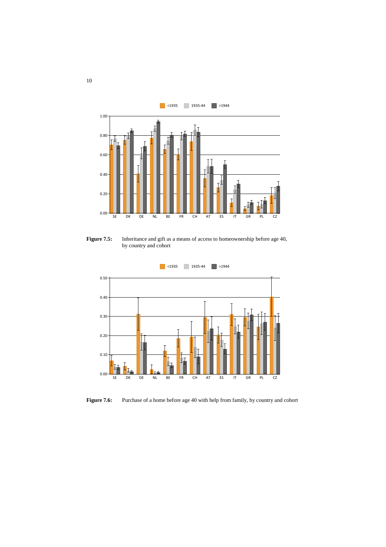

Figure 7.5: Inheritance and gift as a means of access to homeownership before age 40, by country and cohort



Figure 7.6: Purchase of a home before age 40 with help from family, by country and cohort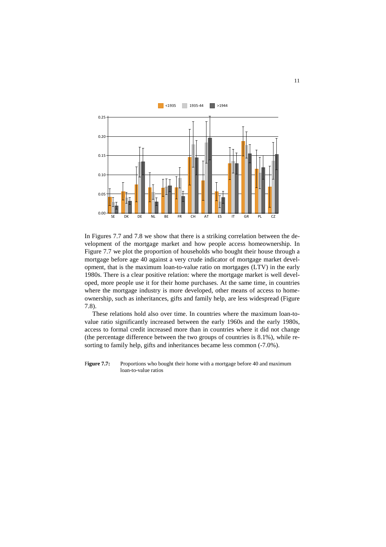

In Figures 7.7 and 7.8 we show that there is a striking correlation between the development of the mortgage market and how people access homeownership. In Figure 7.7 we plot the proportion of households who bought their house through a mortgage before age 40 against a very crude indicator of mortgage market development, that is the maximum loan-to-value ratio on mortgages (LTV) in the early 1980s. There is a clear positive relation: where the mortgage market is well developed, more people use it for their home purchases. At the same time, in countries where the mortgage industry is more developed, other means of access to homeownership, such as inheritances, gifts and family help, are less widespread (Figure 7.8).

These relations hold also over time. In countries where the maximum loan-tovalue ratio significantly increased between the early 1960s and the early 1980s, access to formal credit increased more than in countries where it did not change (the percentage difference between the two groups of countries is 8.1%), while resorting to family help, gifts and inheritances became less common (-7.0%).

Figure 7.7: Proportions who bought their home with a mortgage before 40 and maximum loan-to-value ratios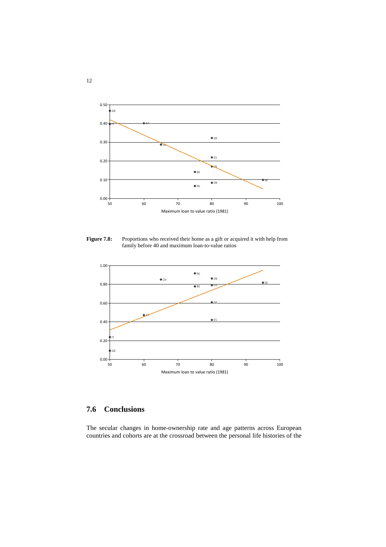

Figure 7.8: Proportions who received their home as a gift or acquired it with help from family before 40 and maximum loan-to-value ratios



# **7.6 Conclusions**

The secular changes in home-ownership rate and age patterns across European countries and cohorts are at the crossroad between the personal life histories of the